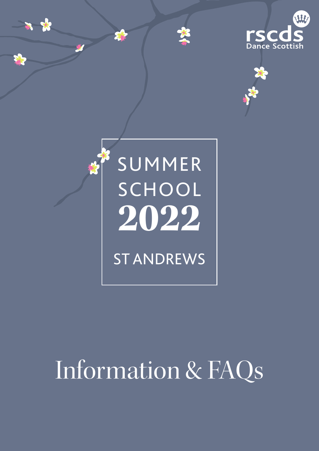







# Information & FAQs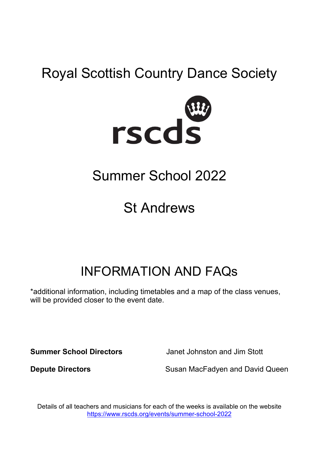# Royal Scottish Country Dance Society



# Summer School 2022

# St Andrews

# INFORMATION AND FAQs

\*additional information, including timetables and a map of the class venues, will be provided closer to the event date.

**Summer School Directors** Janet Johnston and Jim Stott

**Depute Directors** Susan MacFadyen and David Queen

Details of all teachers and musicians for each of the weeks is available on the website <https://www.rscds.org/events/summer-school-2022>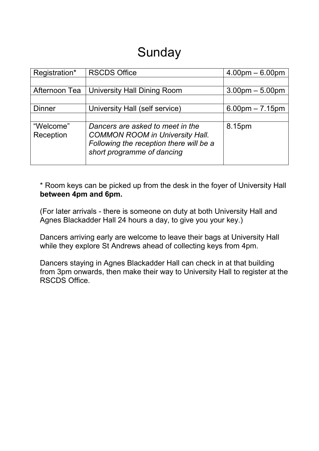## Sunday

| Registration* | <b>RSCDS Office</b>                     | $4.00pm - 6.00pm$ |
|---------------|-----------------------------------------|-------------------|
|               |                                         |                   |
| Afternoon Tea | University Hall Dining Room             | $3.00pm - 5.00pm$ |
|               |                                         |                   |
| <b>Dinner</b> | University Hall (self service)          | $6.00pm - 7.15pm$ |
|               |                                         |                   |
| "Welcome"     | Dancers are asked to meet in the        | 8.15pm            |
| Reception     | <b>COMMON ROOM in University Hall.</b>  |                   |
|               | Following the reception there will be a |                   |
|               | short programme of dancing              |                   |
|               |                                         |                   |

\* Room keys can be picked up from the desk in the foyer of University Hall **between 4pm and 6pm.**

(For later arrivals - there is someone on duty at both University Hall and Agnes Blackadder Hall 24 hours a day, to give you your key.)

Dancers arriving early are welcome to leave their bags at University Hall while they explore St Andrews ahead of collecting keys from 4pm.

Dancers staying in Agnes Blackadder Hall can check in at that building from 3pm onwards, then make their way to University Hall to register at the RSCDS Office.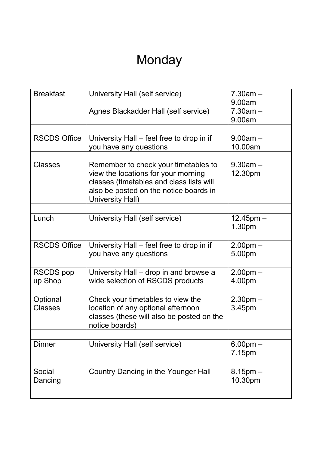# Monday

| <b>Breakfast</b>    | University Hall (self service)            | $7.30am -$     |
|---------------------|-------------------------------------------|----------------|
|                     |                                           | 9.00am         |
|                     | Agnes Blackadder Hall (self service)      | $7.30am -$     |
|                     |                                           | 9.00am         |
|                     |                                           |                |
| <b>RSCDS Office</b> | University Hall – feel free to drop in if | $9.00am -$     |
|                     | you have any questions                    | 10.00am        |
|                     |                                           |                |
| <b>Classes</b>      | Remember to check your timetables to      | $9.30$ am $-$  |
|                     | view the locations for your morning       | 12.30pm        |
|                     | classes (timetables and class lists will  |                |
|                     | also be posted on the notice boards in    |                |
|                     | University Hall)                          |                |
|                     |                                           |                |
| Lunch               | University Hall (self service)            | $12.45$ pm $-$ |
|                     |                                           | 1.30pm         |
|                     |                                           |                |
| <b>RSCDS Office</b> | University Hall – feel free to drop in if | $2.00pm -$     |
|                     | you have any questions                    | 5.00pm         |
|                     |                                           |                |
| <b>RSCDS</b> pop    | University Hall – drop in and browse a    | $2.00pm -$     |
| up Shop             | wide selection of RSCDS products          | 4.00pm         |
|                     |                                           |                |
| Optional            | Check your timetables to view the         | $2.30pm -$     |
| <b>Classes</b>      | location of any optional afternoon        | 3.45pm         |
|                     | classes (these will also be posted on the |                |
|                     | notice boards)                            |                |
|                     |                                           |                |
| <b>Dinner</b>       | University Hall (self service)            | $6.00pm -$     |
|                     |                                           | 7.15pm         |
|                     |                                           |                |
| Social              | Country Dancing in the Younger Hall       | $8.15$ pm $-$  |
| Dancing             |                                           | 10.30pm        |
|                     |                                           |                |
|                     |                                           |                |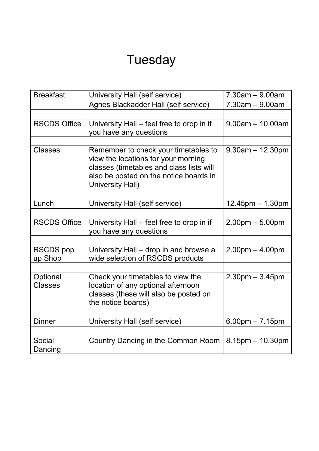# Tuesday

| <b>Breakfast</b>            | University Hall (self service)                                                                                                                                                        | $7.30$ am $-9.00$ am   |
|-----------------------------|---------------------------------------------------------------------------------------------------------------------------------------------------------------------------------------|------------------------|
|                             | Agnes Blackadder Hall (self service)                                                                                                                                                  | $7.30$ am $-9.00$ am   |
|                             |                                                                                                                                                                                       |                        |
| <b>RSCDS Office</b>         | University Hall – feel free to drop in if<br>you have any questions                                                                                                                   | $9.00$ am $-10.00$ am  |
|                             |                                                                                                                                                                                       |                        |
| <b>Classes</b>              | Remember to check your timetables to<br>view the locations for your morning<br>classes (timetables and class lists will<br>also be posted on the notice boards in<br>University Hall) | $9.30$ am $-12.30$ pm  |
|                             |                                                                                                                                                                                       |                        |
| Lunch                       | University Hall (self service)                                                                                                                                                        | $12.45$ pm $- 1.30$ pm |
|                             |                                                                                                                                                                                       |                        |
| <b>RSCDS Office</b>         | University Hall – feel free to drop in if<br>you have any questions                                                                                                                   | $2.00pm - 5.00pm$      |
|                             |                                                                                                                                                                                       |                        |
| <b>RSCDS</b> pop<br>up Shop | University Hall – drop in and browse a<br>wide selection of RSCDS products                                                                                                            | $2.00pm - 4.00pm$      |
|                             |                                                                                                                                                                                       |                        |
| Optional<br><b>Classes</b>  | Check your timetables to view the<br>location of any optional afternoon<br>classes (these will also be posted on<br>the notice boards)                                                | $2.30pm - 3.45pm$      |
|                             |                                                                                                                                                                                       |                        |
| <b>Dinner</b>               | University Hall (self service)                                                                                                                                                        | $6.00$ pm $- 7.15$ pm  |
|                             |                                                                                                                                                                                       |                        |
| Social<br>Dancing           | Country Dancing in the Common Room                                                                                                                                                    | $8.15$ pm $- 10.30$ pm |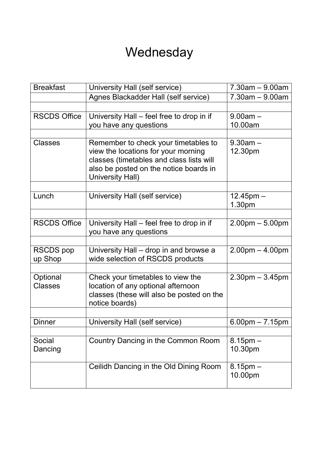## **Wednesday**

| <b>Breakfast</b>    | University Hall (self service)            | $7.30$ am $-9.00$ am              |
|---------------------|-------------------------------------------|-----------------------------------|
|                     |                                           |                                   |
|                     | Agnes Blackadder Hall (self service)      | $7.30am - 9.00am$                 |
|                     |                                           |                                   |
| <b>RSCDS Office</b> | University Hall - feel free to drop in if | $9.00am -$                        |
|                     | you have any questions                    | 10.00am                           |
|                     |                                           |                                   |
| <b>Classes</b>      | Remember to check your timetables to      | $9.30$ am $-$                     |
|                     | view the locations for your morning       | 12.30pm                           |
|                     | classes (timetables and class lists will  |                                   |
|                     | also be posted on the notice boards in    |                                   |
|                     | University Hall)                          |                                   |
|                     |                                           |                                   |
| Lunch               | University Hall (self service)            | $12.45$ pm $-$                    |
|                     |                                           | 1.30pm                            |
|                     |                                           |                                   |
| <b>RSCDS Office</b> | University Hall - feel free to drop in if | $2.00pm - 5.00pm$                 |
|                     | you have any questions                    |                                   |
|                     |                                           |                                   |
| <b>RSCDS</b> pop    | University Hall – drop in and browse a    | $2.00pm - 4.00pm$                 |
| up Shop             | wide selection of RSCDS products          |                                   |
|                     |                                           |                                   |
| Optional            | Check your timetables to view the         | $2.30pm - 3.45pm$                 |
| <b>Classes</b>      | location of any optional afternoon        |                                   |
|                     | classes (these will also be posted on the |                                   |
|                     | notice boards)                            |                                   |
|                     |                                           |                                   |
| <b>Dinner</b>       | University Hall (self service)            | $6.00 \text{pm} - 7.15 \text{pm}$ |
|                     |                                           |                                   |
| Social              | Country Dancing in the Common Room        | $8.15 \text{pm} -$                |
| Dancing             |                                           | 10.30pm                           |
|                     |                                           |                                   |
|                     | Ceilidh Dancing in the Old Dining Room    | $8.15$ pm $-$                     |
|                     |                                           | 10.00pm                           |
|                     |                                           |                                   |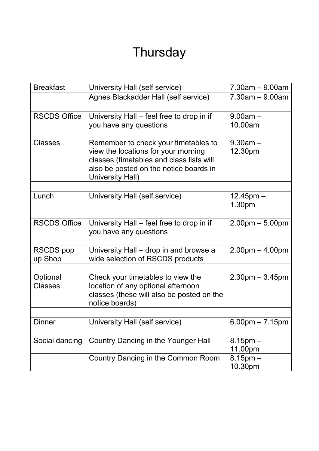# **Thursday**

| <b>Breakfast</b>           | University Hall (self service)                                                                                                                                    | $7.30am - 9.00am$                 |
|----------------------------|-------------------------------------------------------------------------------------------------------------------------------------------------------------------|-----------------------------------|
|                            | Agnes Blackadder Hall (self service)                                                                                                                              | $7.30$ am $-9.00$ am              |
|                            |                                                                                                                                                                   |                                   |
| <b>RSCDS Office</b>        | University Hall – feel free to drop in if                                                                                                                         | $9.00am -$                        |
|                            | you have any questions                                                                                                                                            | 10.00am                           |
|                            |                                                                                                                                                                   |                                   |
| <b>Classes</b>             | Remember to check your timetables to<br>view the locations for your morning<br>classes (timetables and class lists will<br>also be posted on the notice boards in | $9.30$ am $-$<br>12.30pm          |
|                            | University Hall)                                                                                                                                                  |                                   |
|                            |                                                                                                                                                                   |                                   |
| Lunch                      | University Hall (self service)                                                                                                                                    | $12.45$ pm $-$                    |
|                            |                                                                                                                                                                   | 1.30pm                            |
| <b>RSCDS Office</b>        |                                                                                                                                                                   |                                   |
|                            | University Hall – feel free to drop in if<br>you have any questions                                                                                               | $2.00pm - 5.00pm$                 |
|                            |                                                                                                                                                                   |                                   |
| <b>RSCDS</b> pop           | University Hall – drop in and browse a                                                                                                                            | $2.00pm - 4.00pm$                 |
| up Shop                    | wide selection of RSCDS products                                                                                                                                  |                                   |
|                            |                                                                                                                                                                   |                                   |
| Optional<br><b>Classes</b> | Check your timetables to view the<br>location of any optional afternoon<br>classes (these will also be posted on the<br>notice boards)                            | $2.30pm - 3.45pm$                 |
|                            |                                                                                                                                                                   |                                   |
| <b>Dinner</b>              | University Hall (self service)                                                                                                                                    | $6.00 \text{pm} - 7.15 \text{pm}$ |
|                            |                                                                                                                                                                   |                                   |
| Social dancing             | Country Dancing in the Younger Hall                                                                                                                               | $8.15 \text{pm} -$                |
|                            |                                                                                                                                                                   | 11.00pm                           |
|                            | Country Dancing in the Common Room                                                                                                                                | $8.15$ pm $-$                     |
|                            |                                                                                                                                                                   | 10.30pm                           |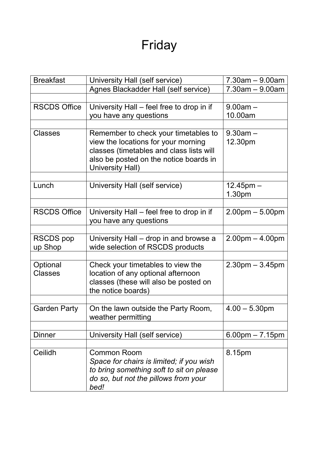# Friday

| <b>Breakfast</b>    | University Hall (self service)                             | $7.30$ am $-9.00$ am              |
|---------------------|------------------------------------------------------------|-----------------------------------|
|                     | Agnes Blackadder Hall (self service)                       | $7.30$ am $-9.00$ am              |
|                     |                                                            |                                   |
| <b>RSCDS Office</b> | University Hall – feel free to drop in if                  | $9.00am -$                        |
|                     | you have any questions                                     | 10.00am                           |
|                     |                                                            |                                   |
| <b>Classes</b>      | Remember to check your timetables to                       | $9.30$ am $-$                     |
|                     | view the locations for your morning                        | 12.30pm                           |
|                     | classes (timetables and class lists will                   |                                   |
|                     | also be posted on the notice boards in<br>University Hall) |                                   |
|                     |                                                            |                                   |
| Lunch               | University Hall (self service)                             | $12.45$ pm $-$                    |
|                     |                                                            | 1.30pm                            |
|                     |                                                            |                                   |
| <b>RSCDS Office</b> | University Hall – feel free to drop in if                  | $2.00pm - 5.00pm$                 |
|                     | you have any questions                                     |                                   |
|                     |                                                            |                                   |
| <b>RSCDS</b> pop    | University Hall – drop in and browse a                     | $2.00pm - 4.00pm$                 |
| up Shop             | wide selection of RSCDS products                           |                                   |
| Optional            | Check your timetables to view the                          | $2.30pm - 3.45pm$                 |
| <b>Classes</b>      | location of any optional afternoon                         |                                   |
|                     | classes (these will also be posted on                      |                                   |
|                     | the notice boards)                                         |                                   |
|                     |                                                            |                                   |
| <b>Garden Party</b> | On the lawn outside the Party Room,                        | $4.00 - 5.30$ pm                  |
|                     | weather permitting                                         |                                   |
|                     |                                                            |                                   |
| <b>Dinner</b>       | University Hall (self service)                             | $6.00 \text{pm} - 7.15 \text{pm}$ |
| Ceilidh             | <b>Common Room</b>                                         | 8.15pm                            |
|                     | Space for chairs is limited; if you wish                   |                                   |
|                     | to bring something soft to sit on please                   |                                   |
|                     | do so, but not the pillows from your                       |                                   |
|                     | bed!                                                       |                                   |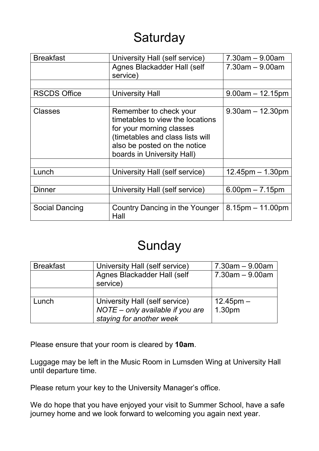# **Saturday**

| <b>Breakfast</b>      | University Hall (self service)                                                                                                                                                           | $7.30$ am $-9.00$ am              |
|-----------------------|------------------------------------------------------------------------------------------------------------------------------------------------------------------------------------------|-----------------------------------|
|                       | Agnes Blackadder Hall (self<br>service)                                                                                                                                                  | $7.30$ am $-9.00$ am              |
|                       |                                                                                                                                                                                          |                                   |
| <b>RSCDS Office</b>   | University Hall                                                                                                                                                                          | $9.00am - 12.15pm$                |
|                       |                                                                                                                                                                                          |                                   |
| <b>Classes</b>        | Remember to check your<br>timetables to view the locations<br>for your morning classes<br>(timetables and class lists will<br>also be posted on the notice<br>boards in University Hall) | $9.30$ am $-12.30$ pm             |
|                       |                                                                                                                                                                                          |                                   |
| Lunch                 | University Hall (self service)                                                                                                                                                           | $12.45$ pm $- 1.30$ pm            |
|                       |                                                                                                                                                                                          |                                   |
| <b>Dinner</b>         | University Hall (self service)                                                                                                                                                           | $6.00 \text{pm} - 7.15 \text{pm}$ |
|                       |                                                                                                                                                                                          |                                   |
| <b>Social Dancing</b> | Country Dancing in the Younger<br>Hall                                                                                                                                                   | $8.15$ pm $-11.00$ pm             |

### Sunday

| <b>Breakfast</b> | University Hall (self service)   | $7.30$ am $-9.00$ am |
|------------------|----------------------------------|----------------------|
|                  | Agnes Blackadder Hall (self      | $7.30$ am $-9.00$ am |
|                  | service)                         |                      |
|                  |                                  |                      |
| Lunch            | University Hall (self service)   | $12.45$ pm $-$       |
|                  | NOTE - only available if you are | 1.30pm               |
|                  | staying for another week         |                      |

Please ensure that your room is cleared by **10am**.

Luggage may be left in the Music Room in Lumsden Wing at University Hall until departure time.

Please return your key to the University Manager's office.

We do hope that you have enjoyed your visit to Summer School, have a safe journey home and we look forward to welcoming you again next year.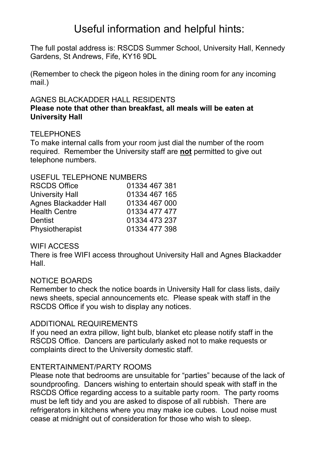### Useful information and helpful hints:

The full postal address is: RSCDS Summer School, University Hall, Kennedy Gardens, St Andrews, Fife, KY16 9DL

(Remember to check the pigeon holes in the dining room for any incoming mail.)

#### AGNES BLACKADDER HALL RESIDENTS

#### **Please note that other than breakfast, all meals will be eaten at University Hall**

#### **TELEPHONES**

To make internal calls from your room just dial the number of the room required. Remember the University staff are **not** permitted to give out telephone numbers.

#### USEFUL TELEPHONE NUMBERS

| <b>RSCDS Office</b>          | 01334 467 381 |
|------------------------------|---------------|
|                              |               |
| University Hall              | 01334 467 165 |
| <b>Agnes Blackadder Hall</b> | 01334 467 000 |
| <b>Health Centre</b>         | 01334 477 477 |
| <b>Dentist</b>               | 01334 473 237 |
| Physiotherapist              | 01334 477 398 |

#### WIFI ACCESS

There is free WIFI access throughout University Hall and Agnes Blackadder Hall.

#### NOTICE BOARDS

Remember to check the notice boards in University Hall for class lists, daily news sheets, special announcements etc. Please speak with staff in the RSCDS Office if you wish to display any notices.

#### ADDITIONAL REQUIREMENTS

If you need an extra pillow, light bulb, blanket etc please notify staff in the RSCDS Office. Dancers are particularly asked not to make requests or complaints direct to the University domestic staff.

#### ENTERTAINMENT/PARTY ROOMS

Please note that bedrooms are unsuitable for "parties" because of the lack of soundproofing. Dancers wishing to entertain should speak with staff in the RSCDS Office regarding access to a suitable party room. The party rooms must be left tidy and you are asked to dispose of all rubbish. There are refrigerators in kitchens where you may make ice cubes. Loud noise must cease at midnight out of consideration for those who wish to sleep.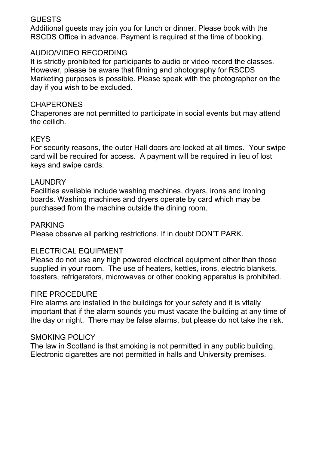#### GUESTS

Additional guests may join you for lunch or dinner. Please book with the RSCDS Office in advance. Payment is required at the time of booking.

#### AUDIO/VIDEO RECORDING

It is strictly prohibited for participants to audio or video record the classes. However, please be aware that filming and photography for RSCDS Marketing purposes is possible. Please speak with the photographer on the day if you wish to be excluded.

#### **CHAPERONES**

Chaperones are not permitted to participate in social events but may attend the ceilidh.

#### **KEYS**

For security reasons, the outer Hall doors are locked at all times. Your swipe card will be required for access. A payment will be required in lieu of lost keys and swipe cards.

#### LAUNDRY

Facilities available include washing machines, dryers, irons and ironing boards. Washing machines and dryers operate by card which may be purchased from the machine outside the dining room.

#### PARKING

Please observe all parking restrictions. If in doubt DON'T PARK.

#### ELECTRICAL EQUIPMENT

Please do not use any high powered electrical equipment other than those supplied in your room. The use of heaters, kettles, irons, electric blankets, toasters, refrigerators, microwaves or other cooking apparatus is prohibited.

#### FIRE PROCEDURE

Fire alarms are installed in the buildings for your safety and it is vitally important that if the alarm sounds you must vacate the building at any time of the day or night. There may be false alarms, but please do not take the risk.

#### SMOKING POLICY

The law in Scotland is that smoking is not permitted in any public building. Electronic cigarettes are not permitted in halls and University premises.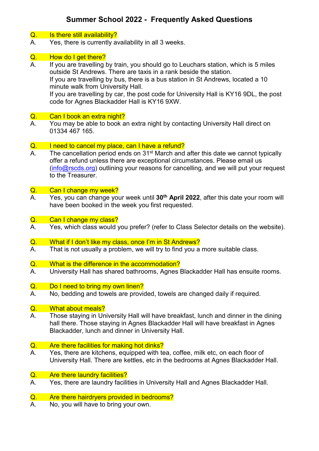#### **Summer School 2022 - Frequently Asked Questions**

#### Q. Is there still availability?

A. Yes, there is currently availability in all 3 weeks.

### **Q.** How do I get there?<br>A. If you are travelling

If you are travelling by train, you should go to Leuchars station, which is 5 miles outside St Andrews. There are taxis in a rank beside the station. If you are travelling by bus, there is a bus station in St Andrews, located a 10 minute walk from University Hall. If you are travelling by car, the post code for University Hall is KY16 9DL, the post code for Agnes Blackadder Hall is KY16 9XW.

#### Q. Can I book an extra night?

A. You may be able to book an extra night by contacting University Hall direct on 01334 467 165.

#### Q. I need to cancel my place, can I have a refund?

A. The cancellation period ends on  $31<sup>st</sup>$  March and after this date we cannot typically offer a refund unless there are exceptional circumstances. Please email us  $(info@rscds.org)$  outlining your reasons for cancelling, and we will put your request to the Treasurer.

#### Q. Can I change my week?

- A. Yes, you can change your week until **30th April 2022**, after this date your room will have been booked in the week you first requested.
- <mark>Q. Can I change my class?</mark><br>A. Yes. which class would \
- Yes, which class would you prefer? (refer to Class Selector details on the website).
- Q. What if I don't like my class, once I'm in St Andrews?<br>A. That is not usually a problem, we will try to find you a
- That is not usually a problem, we will try to find you a more suitable class.
- Q. What is the difference in the accommodation?
- A. University Hall has shared bathrooms, Agnes Blackadder Hall has ensuite rooms.

#### Q. Do I need to bring my own linen?

A. No, bedding and towels are provided, towels are changed daily if required.

#### Q. What about meals?

A. Those staying in University Hall will have breakfast, lunch and dinner in the dining hall there. Those staying in Agnes Blackadder Hall will have breakfast in Agnes Blackadder, lunch and dinner in University Hall.

#### Q. Are there facilities for making hot dinks?

A. Yes, there are kitchens, equipped with tea, coffee, milk etc, on each floor of University Hall. There are kettles, etc in the bedrooms at Agnes Blackadder Hall.

#### Q. Are there laundry facilities?

A. Yes, there are laundry facilities in University Hall and Agnes Blackadder Hall.

#### Q. Are there hairdryers provided in bedrooms?

A. No, you will have to bring your own.